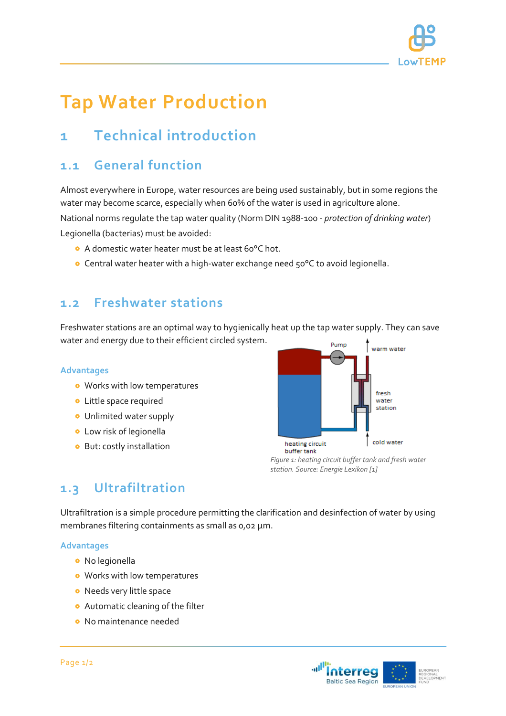

# **Tap Water Production**

## **1 Technical introduction**

### **1.1 General function**

Almost everywhere in Europe, water resources are being used sustainably, but in some regions the water may become scarce, especially when 60% of the water is used in agriculture alone.

National norms regulate the tap water quality (Norm DIN 1988-100 - *protection of drinking water*) Legionella (bacterias) must be avoided:

- A domestic water heater must be at least 60°C hot.
- Central water heater with a high-water exchange need 50°C to avoid legionella.

#### **1.2 Freshwater stations**

Freshwater stations are an optimal way to hygienically heat up the tap water supply. They can save water and energy due to their efficient circled system.

#### **Advantages**

- Works with low temperatures
- **•** Little space required
- Unlimited water supply
- Low risk of legionella
- **•** But: costly installation



*Figure 1: heating circuit buffer tank and fresh water station. Source: Energie Lexikon [1]*

### **1.3 Ultrafiltration**

Ultrafiltration is a simple procedure permitting the clarification and desinfection of water by using membranes filtering containments as small as 0,02 μm.

#### **Advantages**

- No legionella
- Works with low temperatures
- **•** Needs very little space
- **•** Automatic cleaning of the filter
- **o** No maintenance needed